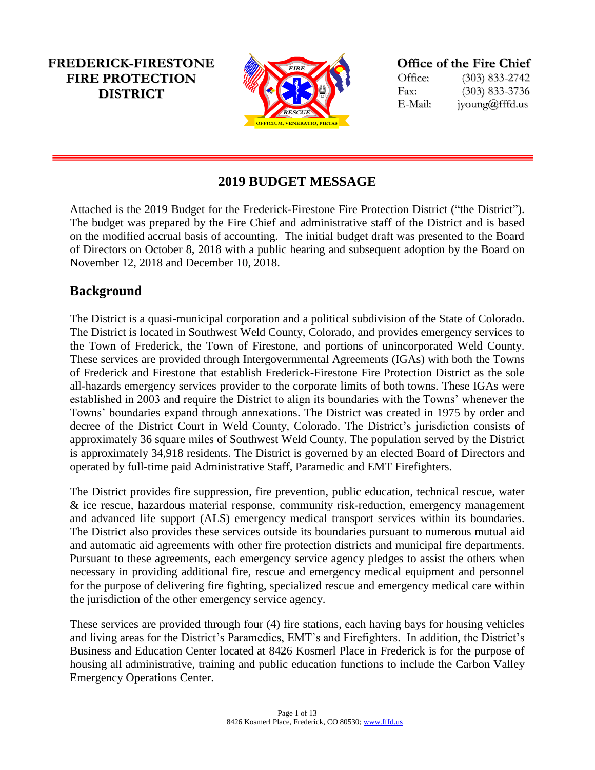**FREDERICK-FIRESTONE FIRE PROTECTION DISTRICT**



**Office of the Fire Chief**

Office: (303) 833-2742 Fax: (303) 833-3736 E-Mail: jyoung@fffd.us

# **2019 BUDGET MESSAGE**

Attached is the 2019 Budget for the Frederick-Firestone Fire Protection District ("the District"). The budget was prepared by the Fire Chief and administrative staff of the District and is based on the modified accrual basis of accounting. The initial budget draft was presented to the Board of Directors on October 8, 2018 with a public hearing and subsequent adoption by the Board on November 12, 2018 and December 10, 2018.

## **Background**

**EXERCT:** FRENCTIFT INTERNATION FRENCHATES<br>
FRENCHATES AND FRENCHATES THE PROTECTION CONDUCT THE Chief and administrative staff of accounting. The initial budget draft with a public hearing and subsequent r 10, 2018.<br>
Corp The District is a quasi-municipal corporation and a political subdivision of the State of Colorado. The District is located in Southwest Weld County, Colorado, and provides emergency services to the Town of Frederick, the Town of Firestone, and portions of unincorporated Weld County. These services are provided through Intergovernmental Agreements (IGAs) with both the Towns of Frederick and Firestone that establish Frederick-Firestone Fire Protection District as the sole all-hazards emergency services provider to the corporate limits of both towns. These IGAs were established in 2003 and require the District to align its boundaries with the Towns' whenever the Towns' boundaries expand through annexations. The District was created in 1975 by order and decree of the District Court in Weld County, Colorado. The District's jurisdiction consists of approximately 36 square miles of Southwest Weld County. The population served by the District is approximately 34,918 residents. The District is governed by an elected Board of Directors and operated by full-time paid Administrative Staff, Paramedic and EMT Firefighters.

The District provides fire suppression, fire prevention, public education, technical rescue, water & ice rescue, hazardous material response, community risk-reduction, emergency management and advanced life support (ALS) emergency medical transport services within its boundaries. The District also provides these services outside its boundaries pursuant to numerous mutual aid and automatic aid agreements with other fire protection districts and municipal fire departments. Pursuant to these agreements, each emergency service agency pledges to assist the others when necessary in providing additional fire, rescue and emergency medical equipment and personnel for the purpose of delivering fire fighting, specialized rescue and emergency medical care within the jurisdiction of the other emergency service agency.

These services are provided through four (4) fire stations, each having bays for housing vehicles and living areas for the District's Paramedics, EMT's and Firefighters. In addition, the District's Business and Education Center located at 8426 Kosmerl Place in Frederick is for the purpose of housing all administrative, training and public education functions to include the Carbon Valley Emergency Operations Center.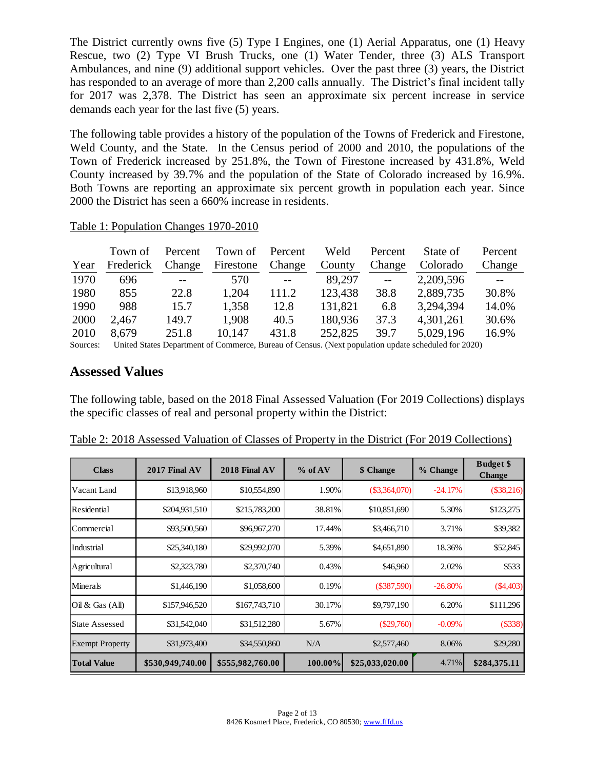The District currently owns five (5) Type I Engines, one (1) Aerial Apparatus, one (1) Heavy Rescue, two (2) Type VI Brush Trucks, one (1) Water Tender, three (3) ALS Transport Ambulances, and nine (9) additional support vehicles. Over the past three (3) years, the District has responded to an average of more than 2,200 calls annually. The District's final incident tally for 2017 was 2,378. The District has seen an approximate six percent increase in service demands each year for the last five (5) years.

The following table provides a history of the population of the Towns of Frederick and Firestone, Weld County, and the State. In the Census period of 2000 and 2010, the populations of the Town of Frederick increased by 251.8%, the Town of Firestone increased by 431.8%, Weld County increased by 39.7% and the population of the State of Colorado increased by 16.9%. Both Towns are reporting an approximate six percent growth in population each year. Since 2000 the District has seen a 660% increase in residents.

| Year                  | Town of<br>Frederick | Percent<br>Change | Town of<br>Firestone | Percent<br>Change | Weld<br>County | Percent<br>Change | State of<br>Colorado                                                                             | Percent<br>Change |
|-----------------------|----------------------|-------------------|----------------------|-------------------|----------------|-------------------|--------------------------------------------------------------------------------------------------|-------------------|
| 1970                  | 696                  | $-$               | 570                  | $---$             | 89.297         | $-$               | 2,209,596                                                                                        |                   |
| 1980                  | 855                  | 22.8              | 1,204                | 111.2             | 123,438        | 38.8              | 2,889,735                                                                                        | 30.8%             |
| 1990                  | 988                  | 15.7              | 1,358                | 12.8              | 131,821        | 6.8               | 3,294,394                                                                                        | 14.0%             |
| 2000                  | 2,467                | 149.7             | 1,908                | 40.5              | 180,936        | 37.3              | 4,301,261                                                                                        | 30.6%             |
| 2010                  | 8,679                | 251.8             | 10,147               | 431.8             | 252,825        | 39.7              | 5,029,196                                                                                        | 16.9%             |
| $\mathcal{C}$ outpoon |                      |                   |                      |                   |                |                   | United States Department of Commons Duneau of Canaus (Nort population undate schoduled for 2020) |                   |

#### Table 1: Population Changes 1970-2010

Sources: United States Department of Commerce, Bureau of Census. (Next population update scheduled for 2020)

### **Assessed Values**

The following table, based on the 2018 Final Assessed Valuation (For 2019 Collections) displays the specific classes of real and personal property within the District:

| <b>Class</b>           | 2017 Final AV    | 2018 Final AV    | % of AV | \$ Change       | % Change  | <b>Budget</b> \$<br><b>Change</b> |
|------------------------|------------------|------------------|---------|-----------------|-----------|-----------------------------------|
| Vacant Land            | \$13,918,960     | \$10,554,890     | 1.90%   | $(\$3,364,070)$ | $-24.17%$ | (\$38,216)                        |
| Residential            | \$204,931,510    | \$215,783,200    | 38.81%  | \$10,851,690    | 5.30%     | \$123,275                         |
| Commercial             | \$93,500,560     | \$96,967,270     | 17.44%  | \$3,466,710     | 3.71%     | \$39,382                          |
| Industrial             | \$25,340,180     | \$29,992,070     | 5.39%   | \$4,651,890     | 18.36%    | \$52,845                          |
| Agricultural           | \$2,323,780      | \$2,370,740      | 0.43%   | \$46,960        | 2.02%     | \$533                             |
| Minerals               | \$1,446,190      | \$1,058,600      | 0.19%   | $(\$387,590)$   | $-26.80%$ | (\$4,403)                         |
| Oil & Gas (All)        | \$157,946,520    | \$167,743,710    | 30.17%  | \$9,797,190     | 6.20%     | \$111,296                         |
| State Assessed         | \$31,542,040     | \$31,512,280     | 5.67%   | $(\$29,760)$    | $-0.09%$  | (\$338)                           |
| <b>Exempt Property</b> | \$31,973,400     | \$34,550,860     | N/A     | \$2,577,460     | 8.06%     | \$29,280                          |
| <b>Total Value</b>     | \$530,949,740.00 | \$555,982,760.00 | 100.00% | \$25,033,020.00 | 4.71%     | \$284,375.11                      |

Table 2: 2018 Assessed Valuation of Classes of Property in the District (For 2019 Collections)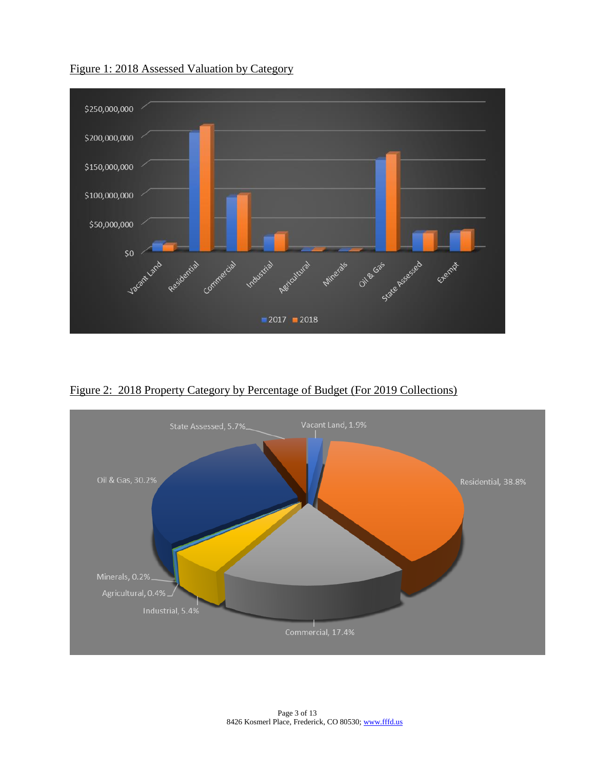

Figure 1: 2018 Assessed Valuation by Category

Figure 2: 2018 Property Category by Percentage of Budget (For 2019 Collections)

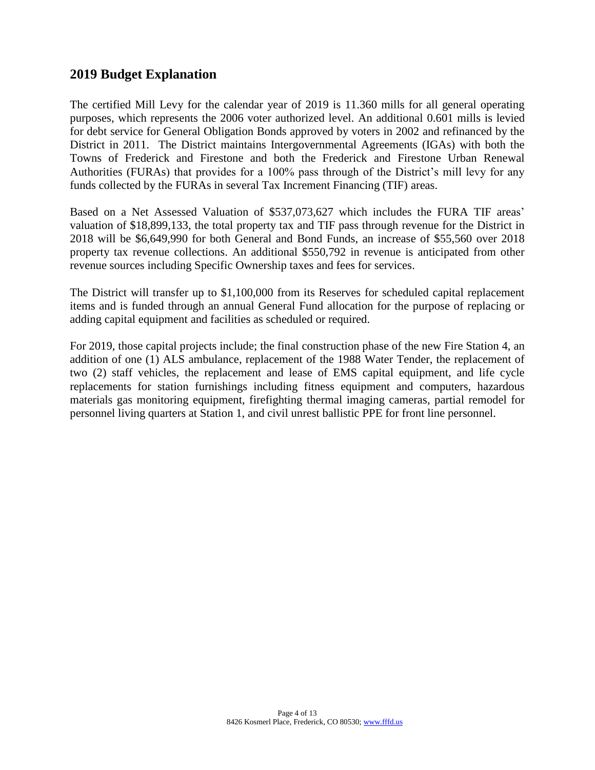## **2019 Budget Explanation**

The certified Mill Levy for the calendar year of 2019 is 11.360 mills for all general operating purposes, which represents the 2006 voter authorized level. An additional 0.601 mills is levied for debt service for General Obligation Bonds approved by voters in 2002 and refinanced by the District in 2011. The District maintains Intergovernmental Agreements (IGAs) with both the Towns of Frederick and Firestone and both the Frederick and Firestone Urban Renewal Authorities (FURAs) that provides for a 100% pass through of the District's mill levy for any funds collected by the FURAs in several Tax Increment Financing (TIF) areas.

Based on a Net Assessed Valuation of \$537,073,627 which includes the FURA TIF areas' valuation of \$18,899,133, the total property tax and TIF pass through revenue for the District in 2018 will be \$6,649,990 for both General and Bond Funds, an increase of \$55,560 over 2018 property tax revenue collections. An additional \$550,792 in revenue is anticipated from other revenue sources including Specific Ownership taxes and fees for services.

The District will transfer up to \$1,100,000 from its Reserves for scheduled capital replacement items and is funded through an annual General Fund allocation for the purpose of replacing or adding capital equipment and facilities as scheduled or required.

For 2019, those capital projects include; the final construction phase of the new Fire Station 4, an addition of one (1) ALS ambulance, replacement of the 1988 Water Tender, the replacement of two (2) staff vehicles, the replacement and lease of EMS capital equipment, and life cycle replacements for station furnishings including fitness equipment and computers, hazardous materials gas monitoring equipment, firefighting thermal imaging cameras, partial remodel for personnel living quarters at Station 1, and civil unrest ballistic PPE for front line personnel.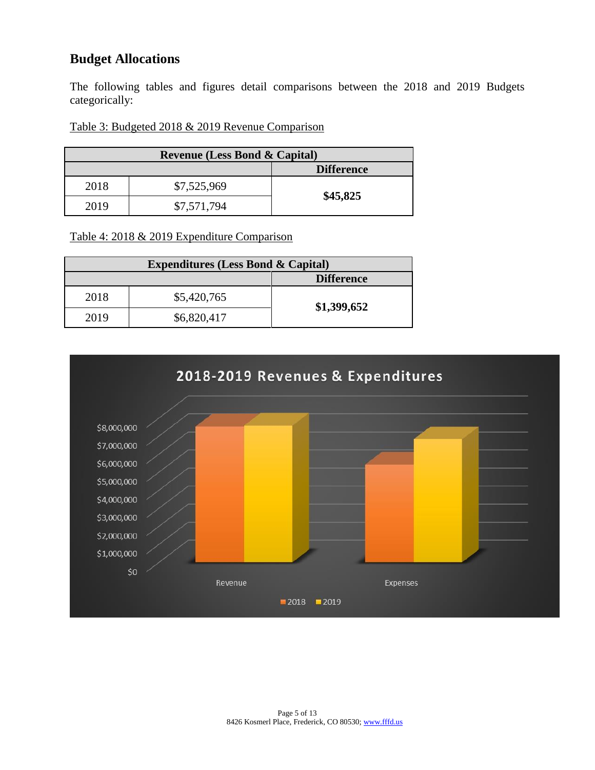## **Budget Allocations**

The following tables and figures detail comparisons between the 2018 and 2019 Budgets categorically:

#### Table 3: Budgeted 2018 & 2019 Revenue Comparison

| <b>Revenue (Less Bond &amp; Capital)</b> |             |          |  |
|------------------------------------------|-------------|----------|--|
| <b>Difference</b>                        |             |          |  |
| 2018                                     | \$7,525,969 |          |  |
| 2019                                     | \$7,571,794 | \$45,825 |  |

Table 4: 2018 & 2019 Expenditure Comparison

| <b>Expenditures (Less Bond &amp; Capital)</b> |             |                   |
|-----------------------------------------------|-------------|-------------------|
|                                               |             | <b>Difference</b> |
| 2018                                          | \$5,420,765 | \$1,399,652       |
| 2019                                          | \$6,820,417 |                   |

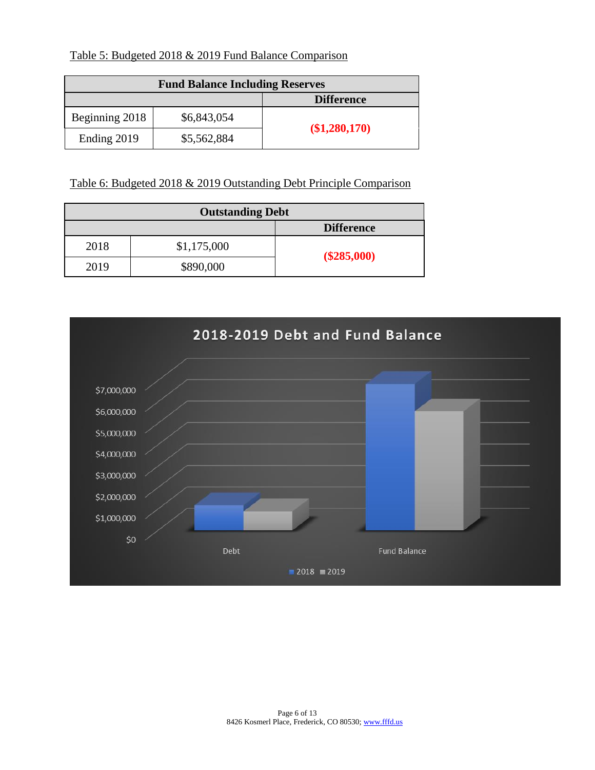Table 5: Budgeted 2018 & 2019 Fund Balance Comparison

| <b>Fund Balance Including Reserves</b> |             |                   |  |
|----------------------------------------|-------------|-------------------|--|
|                                        |             | <b>Difference</b> |  |
| Beginning 2018                         | \$6,843,054 |                   |  |
| Ending 2019                            | \$5,562,884 | (\$1,280,170)     |  |

Table 6: Budgeted 2018 & 2019 Outstanding Debt Principle Comparison

| <b>Outstanding Debt</b> |             |                   |  |
|-------------------------|-------------|-------------------|--|
|                         |             | <b>Difference</b> |  |
| 2018                    | \$1,175,000 |                   |  |
| 2019                    | \$890,000   | $(\$285,000)$     |  |

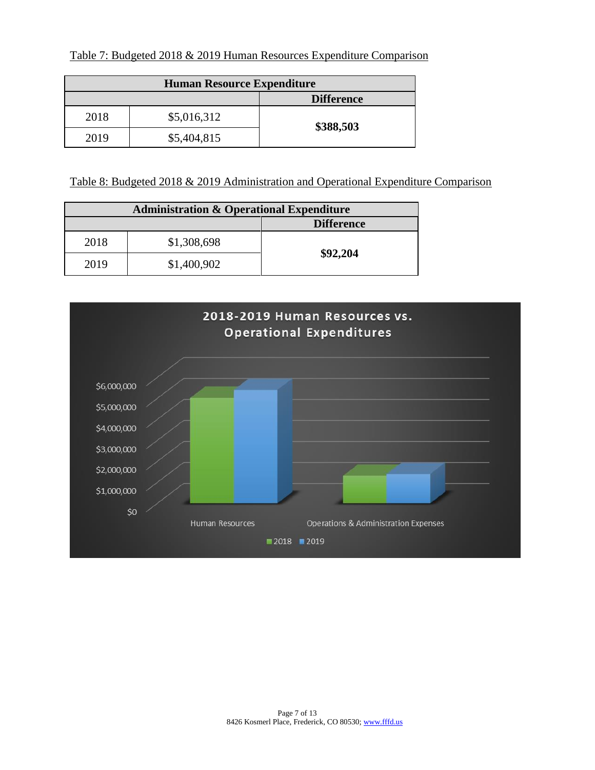| <b>Human Resource Expenditure</b> |             |                   |  |
|-----------------------------------|-------------|-------------------|--|
|                                   |             | <b>Difference</b> |  |
| 2018                              | \$5,016,312 | \$388,503         |  |
| 2019                              | \$5,404,815 |                   |  |

Table 8: Budgeted 2018 & 2019 Administration and Operational Expenditure Comparison

| <b>Administration &amp; Operational Expenditure</b> |             |          |  |
|-----------------------------------------------------|-------------|----------|--|
| <b>Difference</b>                                   |             |          |  |
| 2018                                                | \$1,308,698 |          |  |
| 2019                                                | \$1,400,902 | \$92,204 |  |

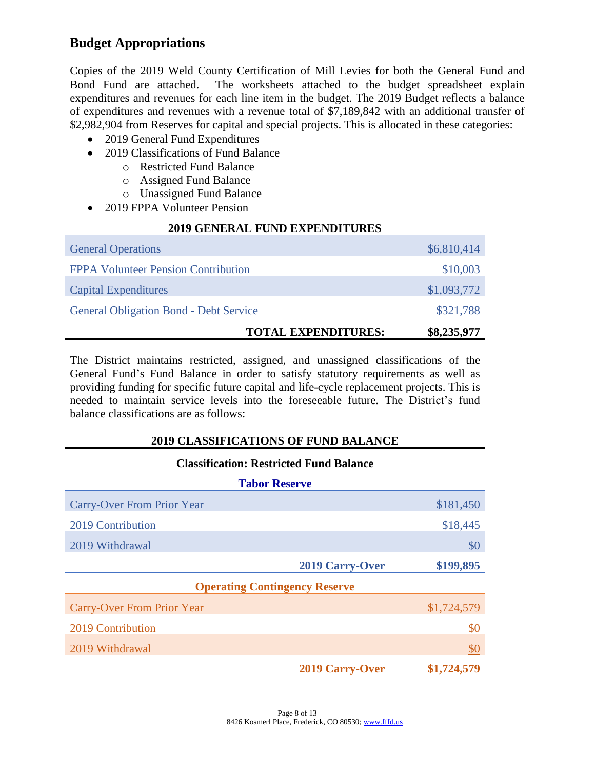## **Budget Appropriations**

Copies of the 2019 Weld County Certification of Mill Levies for both the General Fund and Bond Fund are attached. The worksheets attached to the budget spreadsheet explain expenditures and revenues for each line item in the budget. The 2019 Budget reflects a balance of expenditures and revenues with a revenue total of \$7,189,842 with an additional transfer of \$2,982,904 from Reserves for capital and special projects. This is allocated in these categories:

- 2019 General Fund Expenditures
- 2019 Classifications of Fund Balance
	- o Restricted Fund Balance
	- o Assigned Fund Balance
	- o Unassigned Fund Balance
- 2019 FPPA Volunteer Pension

#### **2019 GENERAL FUND EXPENDITURES**

| <b>General Operations</b>                     |                            | \$6,810,414 |
|-----------------------------------------------|----------------------------|-------------|
| <b>FPPA Volunteer Pension Contribution</b>    |                            | \$10,003    |
| <b>Capital Expenditures</b>                   |                            | \$1,093,772 |
| <b>General Obligation Bond - Debt Service</b> |                            | \$321,788   |
|                                               | <b>TOTAL EXPENDITURES:</b> | \$8,235,977 |

The District maintains restricted, assigned, and unassigned classifications of the General Fund's Fund Balance in order to satisfy statutory requirements as well as providing funding for specific future capital and life-cycle replacement projects. This is needed to maintain service levels into the foreseeable future. The District's fund balance classifications are as follows:

### **2019 CLASSIFICATIONS OF FUND BALANCE**

#### **Classification: Restricted Fund Balance**

| <b>Tabor Reserve</b>                 |                        |               |
|--------------------------------------|------------------------|---------------|
| <b>Carry-Over From Prior Year</b>    |                        | \$181,450     |
| 2019 Contribution                    |                        | \$18,445      |
| 2019 Withdrawal                      |                        | $\frac{$0}{}$ |
|                                      | 2019 Carry-Over        | \$199,895     |
| <b>Operating Contingency Reserve</b> |                        |               |
| <b>Carry-Over From Prior Year</b>    |                        | \$1,724,579   |
| 2019 Contribution                    |                        | \$0           |
| 2019 Withdrawal                      |                        | \$0           |
|                                      | <b>2019 Carry-Over</b> | \$1,724,579   |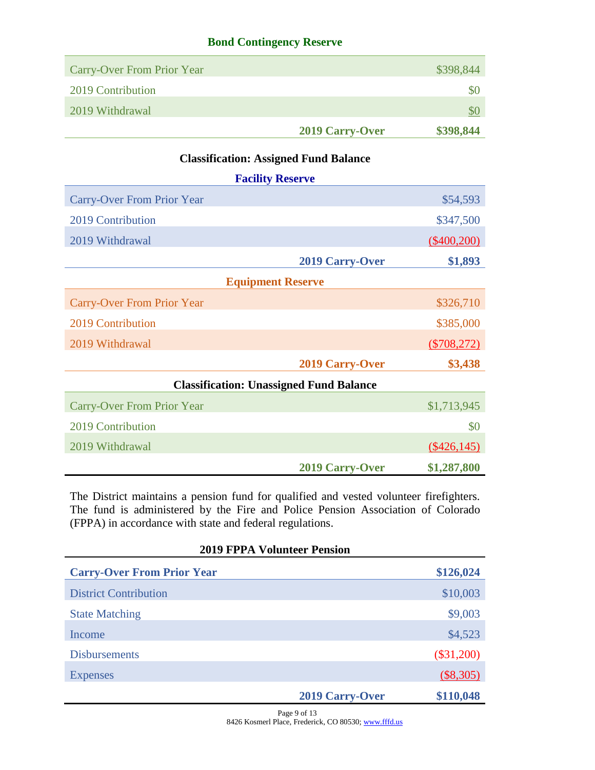### **Bond Contingency Reserve**

| <b>Carry-Over From Prior Year</b> |                 | \$398,844     |
|-----------------------------------|-----------------|---------------|
| 2019 Contribution                 |                 | <sup>30</sup> |
| 2019 Withdrawal                   |                 | <b>SC</b>     |
|                                   | 2019 Carry-Over | \$398,844     |

## **Classification: Assigned Fund Balance**

|                                                | <b>Facility Reserve</b> |                |  |  |
|------------------------------------------------|-------------------------|----------------|--|--|
| <b>Carry-Over From Prior Year</b>              |                         | \$54,593       |  |  |
| 2019 Contribution                              |                         | \$347,500      |  |  |
| 2019 Withdrawal                                |                         | $(\$400,200)$  |  |  |
|                                                | <b>2019 Carry-Over</b>  | \$1,893        |  |  |
| <b>Equipment Reserve</b>                       |                         |                |  |  |
| <b>Carry-Over From Prior Year</b>              |                         | \$326,710      |  |  |
| 2019 Contribution                              |                         | \$385,000      |  |  |
| 2019 Withdrawal                                |                         | $(\$708,272)$  |  |  |
|                                                | <b>2019 Carry-Over</b>  | \$3,438        |  |  |
| <b>Classification: Unassigned Fund Balance</b> |                         |                |  |  |
| <b>Carry-Over From Prior Year</b>              |                         | \$1,713,945    |  |  |
| 2019 Contribution                              |                         | \$0            |  |  |
| 2019 Withdrawal                                |                         | $($ \$426,145) |  |  |
|                                                | <b>2019 Carry-Over</b>  | \$1,287,800    |  |  |

The District maintains a pension fund for qualified and vested volunteer firefighters. The fund is administered by the Fire and Police Pension Association of Colorado (FPPA) in accordance with state and federal regulations.

| <b>2019 FPPA Volunteer Pension</b> |                 |              |
|------------------------------------|-----------------|--------------|
| <b>Carry-Over From Prior Year</b>  |                 | \$126,024    |
| <b>District Contribution</b>       |                 | \$10,003     |
| <b>State Matching</b>              |                 | \$9,003      |
| Income                             |                 | \$4,523      |
| <b>Disbursements</b>               |                 | $(\$31,200)$ |
| <b>Expenses</b>                    |                 | (\$8,305)    |
|                                    | 2019 Carry-Over | \$110,048    |

Page 9 of 13 8426 Kosmerl Place, Frederick, CO 80530[; www.fffd.us](http://www.fffd.us/)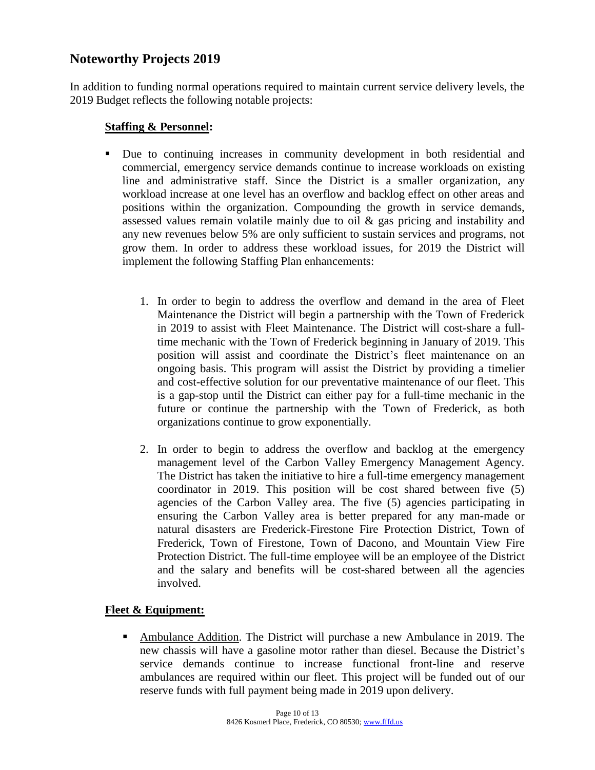## **Noteworthy Projects 2019**

In addition to funding normal operations required to maintain current service delivery levels, the 2019 Budget reflects the following notable projects:

#### **Staffing & Personnel:**

- Due to continuing increases in community development in both residential and commercial, emergency service demands continue to increase workloads on existing line and administrative staff. Since the District is a smaller organization, any workload increase at one level has an overflow and backlog effect on other areas and positions within the organization. Compounding the growth in service demands, assessed values remain volatile mainly due to oil & gas pricing and instability and any new revenues below 5% are only sufficient to sustain services and programs, not grow them. In order to address these workload issues, for 2019 the District will implement the following Staffing Plan enhancements:
	- 1. In order to begin to address the overflow and demand in the area of Fleet Maintenance the District will begin a partnership with the Town of Frederick in 2019 to assist with Fleet Maintenance. The District will cost-share a fulltime mechanic with the Town of Frederick beginning in January of 2019. This position will assist and coordinate the District's fleet maintenance on an ongoing basis. This program will assist the District by providing a timelier and cost-effective solution for our preventative maintenance of our fleet. This is a gap-stop until the District can either pay for a full-time mechanic in the future or continue the partnership with the Town of Frederick, as both organizations continue to grow exponentially.
	- 2. In order to begin to address the overflow and backlog at the emergency management level of the Carbon Valley Emergency Management Agency. The District has taken the initiative to hire a full-time emergency management coordinator in 2019. This position will be cost shared between five (5) agencies of the Carbon Valley area. The five (5) agencies participating in ensuring the Carbon Valley area is better prepared for any man-made or natural disasters are Frederick-Firestone Fire Protection District, Town of Frederick, Town of Firestone, Town of Dacono, and Mountain View Fire Protection District. The full-time employee will be an employee of the District and the salary and benefits will be cost-shared between all the agencies involved.

### **Fleet & Equipment:**

▪ Ambulance Addition. The District will purchase a new Ambulance in 2019. The new chassis will have a gasoline motor rather than diesel. Because the District's service demands continue to increase functional front-line and reserve ambulances are required within our fleet. This project will be funded out of our reserve funds with full payment being made in 2019 upon delivery.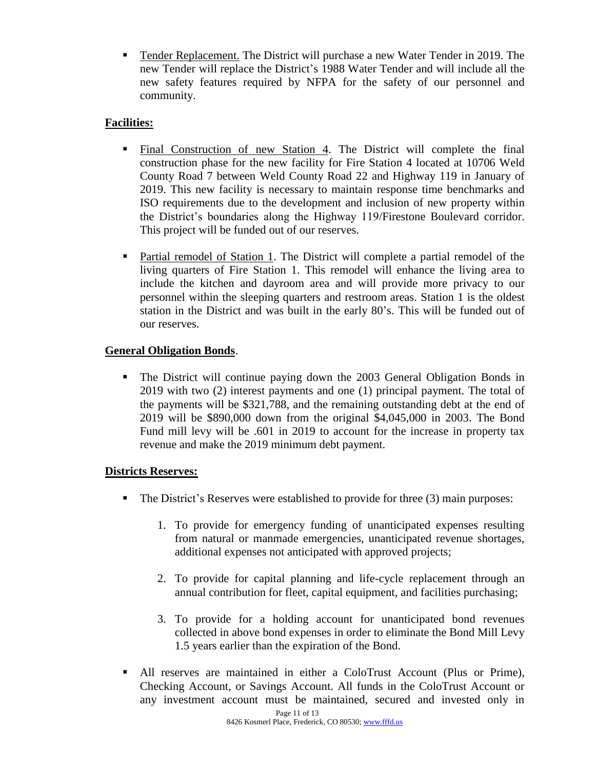▪ Tender Replacement. The District will purchase a new Water Tender in 2019. The new Tender will replace the District's 1988 Water Tender and will include all the new safety features required by NFPA for the safety of our personnel and community.

## **Facilities:**

- Final Construction of new Station 4. The District will complete the final construction phase for the new facility for Fire Station 4 located at 10706 Weld County Road 7 between Weld County Road 22 and Highway 119 in January of 2019. This new facility is necessary to maintain response time benchmarks and ISO requirements due to the development and inclusion of new property within the District's boundaries along the Highway 119/Firestone Boulevard corridor. This project will be funded out of our reserves.
- Partial remodel of Station 1. The District will complete a partial remodel of the living quarters of Fire Station 1. This remodel will enhance the living area to include the kitchen and dayroom area and will provide more privacy to our personnel within the sleeping quarters and restroom areas. Station 1 is the oldest station in the District and was built in the early 80's. This will be funded out of our reserves.

## **General Obligation Bonds**.

▪ The District will continue paying down the 2003 General Obligation Bonds in 2019 with two (2) interest payments and one (1) principal payment. The total of the payments will be \$321,788, and the remaining outstanding debt at the end of 2019 will be \$890,000 down from the original \$4,045,000 in 2003. The Bond Fund mill levy will be .601 in 2019 to account for the increase in property tax revenue and make the 2019 minimum debt payment.

### **Districts Reserves:**

- The District's Reserves were established to provide for three (3) main purposes:
	- 1. To provide for emergency funding of unanticipated expenses resulting from natural or manmade emergencies, unanticipated revenue shortages, additional expenses not anticipated with approved projects;
	- 2. To provide for capital planning and life-cycle replacement through an annual contribution for fleet, capital equipment, and facilities purchasing;
	- 3. To provide for a holding account for unanticipated bond revenues collected in above bond expenses in order to eliminate the Bond Mill Levy 1.5 years earlier than the expiration of the Bond.
- All reserves are maintained in either a ColoTrust Account (Plus or Prime), Checking Account, or Savings Account. All funds in the ColoTrust Account or any investment account must be maintained, secured and invested only in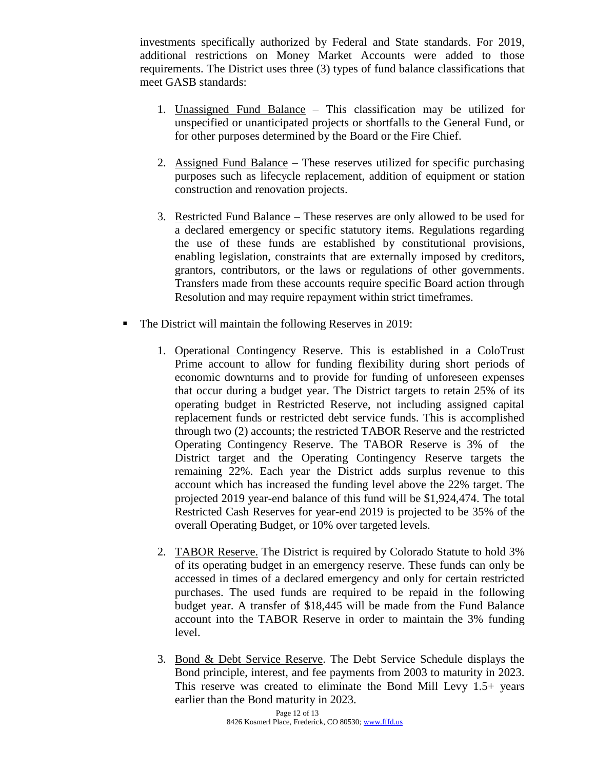investments specifically authorized by Federal and State standards. For 2019, additional restrictions on Money Market Accounts were added to those requirements. The District uses three (3) types of fund balance classifications that meet GASB standards:

- 1. Unassigned Fund Balance This classification may be utilized for unspecified or unanticipated projects or shortfalls to the General Fund, or for other purposes determined by the Board or the Fire Chief.
- 2. Assigned Fund Balance These reserves utilized for specific purchasing purposes such as lifecycle replacement, addition of equipment or station construction and renovation projects.
- 3. Restricted Fund Balance These reserves are only allowed to be used for a declared emergency or specific statutory items. Regulations regarding the use of these funds are established by constitutional provisions, enabling legislation, constraints that are externally imposed by creditors, grantors, contributors, or the laws or regulations of other governments. Transfers made from these accounts require specific Board action through Resolution and may require repayment within strict timeframes.
- The District will maintain the following Reserves in 2019:
	- 1. Operational Contingency Reserve. This is established in a ColoTrust Prime account to allow for funding flexibility during short periods of economic downturns and to provide for funding of unforeseen expenses that occur during a budget year. The District targets to retain 25% of its operating budget in Restricted Reserve, not including assigned capital replacement funds or restricted debt service funds. This is accomplished through two (2) accounts; the restricted TABOR Reserve and the restricted Operating Contingency Reserve. The TABOR Reserve is 3% of the District target and the Operating Contingency Reserve targets the remaining 22%. Each year the District adds surplus revenue to this account which has increased the funding level above the 22% target. The projected 2019 year-end balance of this fund will be \$1,924,474. The total Restricted Cash Reserves for year-end 2019 is projected to be 35% of the overall Operating Budget, or 10% over targeted levels.
	- 2. TABOR Reserve. The District is required by Colorado Statute to hold 3% of its operating budget in an emergency reserve. These funds can only be accessed in times of a declared emergency and only for certain restricted purchases. The used funds are required to be repaid in the following budget year. A transfer of \$18,445 will be made from the Fund Balance account into the TABOR Reserve in order to maintain the 3% funding level.
	- 3. Bond & Debt Service Reserve. The Debt Service Schedule displays the Bond principle, interest, and fee payments from 2003 to maturity in 2023. This reserve was created to eliminate the Bond Mill Levy 1.5+ years earlier than the Bond maturity in 2023.